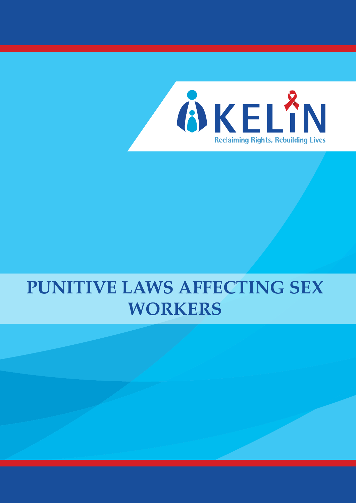

# **PUNITIVE LAWS AFFECTING SEX WORKERS**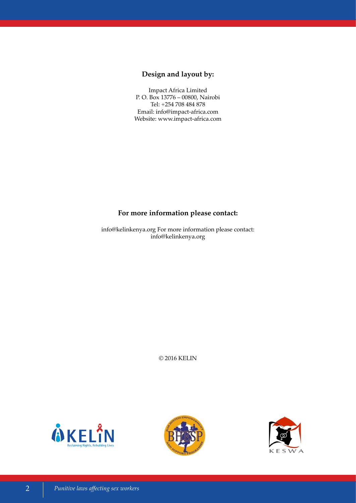# **Design and layout by:**

Impact Africa Limited P. O. Box 13776 – 00800, Nairobi Tel: +254 708 484 878 Email: info@impact-africa.com Website: www.impact-africa.com

# **For more information please contact:**

info@kelinkenya.org For more information please contact: info@kelinkenya.org

© 2016 KELIN





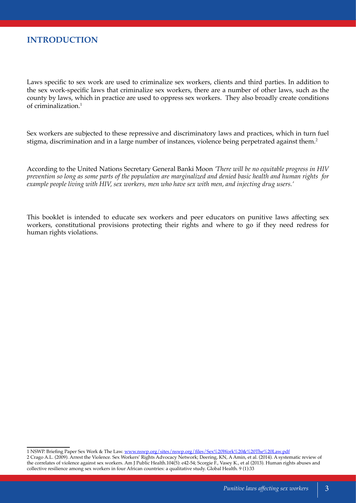Laws specific to sex work are used to criminalize sex workers, clients and third parties. In addition to the sex work-specific laws that criminalize sex workers, there are a number of other laws, such as the county by laws, which in practice are used to oppress sex workers. They also broadly create conditions of criminalization.<sup>1</sup>

Sex workers are subjected to these repressive and discriminatory laws and practices, which in turn fuel stigma, discrimination and in a large number of instances, violence being perpetrated against them.<sup>2</sup>

According to the United Nations Secretary General Banki Moon *'There will be no equitable progress in HIV prevention so long as some parts of the population are marginalized and denied basic health and human rights for example people living with HIV, sex workers, men who have sex with men, and injecting drug users.'*

This booklet is intended to educate sex workers and peer educators on punitive laws affecting sex workers, constitutional provisions protecting their rights and where to go if they need redress for human rights violations.

<sup>1</sup> NSWP. Briefing Paper Sex Work & The Law. [www.nswp.org/sites/nswp.org/files/Sex%20Work%20&%20The%20Law.pdf](http://www.nswp.org/sites/nswp.org/files/Sex%20Work%20&%20The%20Law.pdf)

<sup>2</sup> Crago A.L. (2009). Arrest the Violence. Sex Workers' Rights Advocacy Network; Deering, KN, A Amin, et al. (2014). A systematic review of the correlates of violence against sex workers. Am J Public Health.104(5): e42-54; Scorgie F., Vasey K., et al (2013). Human rights abuses and collective resilience among sex workers in four African countries: a qualitative study. Global Health. 9 (1):33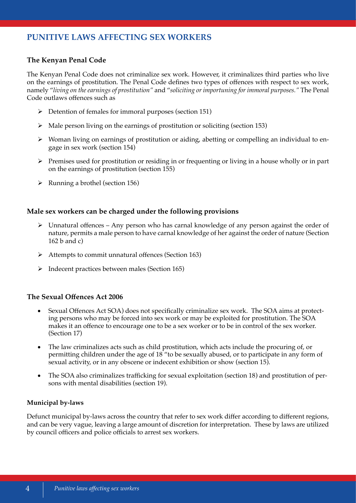# **PUNITIVE LAWS AFFECTING SEX WORKERS**

# **The Kenyan Penal Code**

The Kenyan Penal Code does not criminalize sex work. However, it criminalizes third parties who live on the earnings of prostitution. The Penal Code defines two types of offences with respect to sex work, namely "*living on the earnings of prostitution"* and "*soliciting or importuning for immoral purposes."* The Penal Code outlaws offences such as

- $\triangleright$  Detention of females for immoral purposes (section 151)
- $\triangleright$  Male person living on the earnings of prostitution or soliciting (section 153)
- $\triangleright$  Woman living on earnings of prostitution or aiding, abetting or compelling an individual to engage in sex work (section 154)
- $\triangleright$  Premises used for prostitution or residing in or frequenting or living in a house wholly or in part on the earnings of prostitution (section 155)
- $\triangleright$  Running a brothel (section 156)

# **Male sex workers can be charged under the following provisions**

- $\triangleright$  Unnatural offences Any person who has carnal knowledge of any person against the order of nature, permits a male person to have carnal knowledge of her against the order of nature (Section 162 b and c)
- Attempts to commit unnatural offences (Section 163)
- $\triangleright$  Indecent practices between males (Section 165)

# **The Sexual Offences Act 2006**

- Sexual Offences Act SOA) does not specifically criminalize sex work. The SOA aims at protecting persons who may be forced into sex work or may be exploited for prostitution. The SOA makes it an offence to encourage one to be a sex worker or to be in control of the sex worker. (Section 17)
- The law criminalizes acts such as child prostitution, which acts include the procuring of, or permitting children under the age of 18 "to be sexually abused, or to participate in any form of sexual activity, or in any obscene or indecent exhibition or show (section 15).
- The SOA also criminalizes trafficking for sexual exploitation (section 18) and prostitution of persons with mental disabilities (section 19).

## **Municipal by-laws**

Defunct municipal by-laws across the country that refer to sex work differ according to different regions, and can be very vague, leaving a large amount of discretion for interpretation. These by laws are utilized by council officers and police officials to arrest sex workers.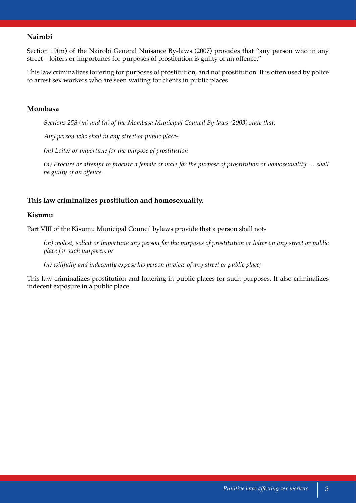# **Nairobi**

Section 19(m) of the Nairobi General Nuisance By-laws (2007) provides that "any person who in any street – loiters or importunes for purposes of prostitution is guilty of an offence."

This law criminalizes loitering for purposes of prostitution, and not prostitution. It is often used by police to arrest sex workers who are seen waiting for clients in public places

## **Mombasa**

*Sections 258 (m) and (n) of the Mombasa Municipal Council By-laws (2003) state that:*

*Any person who shall in any street or public place-*

*(m) Loiter or importune for the purpose of prostitution*

*(n) Procure or attempt to procure a female or male for the purpose of prostitution or homosexuality … shall be guilty of an offence.*

## **This law criminalizes prostitution and homosexuality.**

## **Kisumu**

Part VIII of the Kisumu Municipal Council bylaws provide that a person shall not-

*(m) molest, solicit or importune any person for the purposes of prostitution or loiter on any street or public place for such purposes; or*

*(n) willfully and indecently expose his person in view of any street or public place;*

This law criminalizes prostitution and loitering in public places for such purposes. It also criminalizes indecent exposure in a public place.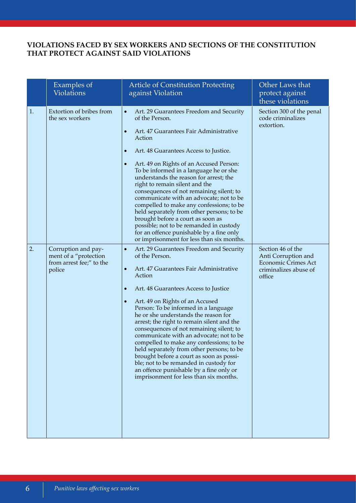# **VIOLATIONS FACED BY SEX WORKERS AND SECTIONS OF THE CONSTITUTION THAT PROTECT AGAINST SAID VIOLATIONS**

|    | Examples of<br><b>Violations</b>                                                   | <b>Article of Constitution Protecting</b><br>against Violation                                                                                                                                                                                                                                                                                                                                                                                                                                                                                                                                                                                                                                                                        | Other Laws that<br>protect against<br>these violations                                                    |
|----|------------------------------------------------------------------------------------|---------------------------------------------------------------------------------------------------------------------------------------------------------------------------------------------------------------------------------------------------------------------------------------------------------------------------------------------------------------------------------------------------------------------------------------------------------------------------------------------------------------------------------------------------------------------------------------------------------------------------------------------------------------------------------------------------------------------------------------|-----------------------------------------------------------------------------------------------------------|
| 1. | Extortion of bribes from<br>the sex workers                                        | Art. 29 Guarantees Freedom and Security<br>$\bullet$<br>of the Person.<br>Art. 47 Guarantees Fair Administrative<br>$\bullet$<br>Action<br>Art. 48 Guarantees Access to Justice.<br>$\bullet$<br>Art. 49 on Rights of an Accused Person:<br>$\bullet$<br>To be informed in a language he or she<br>understands the reason for arrest; the<br>right to remain silent and the<br>consequences of not remaining silent; to<br>communicate with an advocate; not to be<br>compelled to make any confessions; to be<br>held separately from other persons; to be<br>brought before a court as soon as<br>possible; not to be remanded in custody<br>for an offence punishable by a fine only<br>or imprisonment for less than six months.  | Section 300 of the penal<br>code criminalizes<br>extortion.                                               |
| 2. | Corruption and pay-<br>ment of a "protection<br>from arrest fee;" to the<br>police | Art. 29 Guarantees Freedom and Security<br>$\bullet$<br>of the Person.<br>Art. 47 Guarantees Fair Administrative<br>$\bullet$<br>Action<br>Art. 48 Guarantees Access to Justice<br>$\bullet$<br>Art. 49 on Rights of an Accused<br>$\bullet$<br>Person: To be informed in a language<br>he or she understands the reason for<br>arrest; the right to remain silent and the<br>consequences of not remaining silent; to<br>communicate with an advocate; not to be<br>compelled to make any confessions; to be<br>held separately from other persons; to be<br>brought before a court as soon as possi-<br>ble; not to be remanded in custody for<br>an offence punishable by a fine only or<br>imprisonment for less than six months. | Section 46 of the<br>Anti Corruption and<br><b>Economic Crimes Act</b><br>criminalizes abuse of<br>office |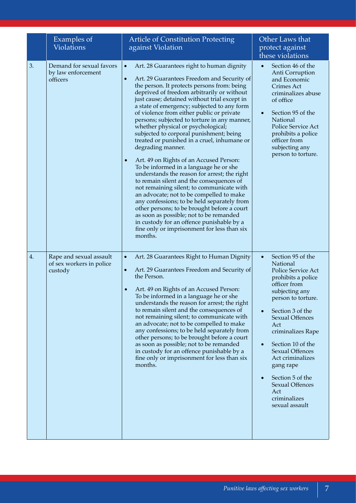|    | Examples of<br><b>Violations</b>                               | <b>Article of Constitution Protecting</b><br>against Violation                                                                                                                                                                                                                                                                                                                                                                                                                                                                                                                                                                                                                                                                                                                                                                                                                                                                                                                                                                                                                                         | Other Laws that<br>protect against<br>these violations                                                                                                                                                                                                                                                                                                                                                                    |
|----|----------------------------------------------------------------|--------------------------------------------------------------------------------------------------------------------------------------------------------------------------------------------------------------------------------------------------------------------------------------------------------------------------------------------------------------------------------------------------------------------------------------------------------------------------------------------------------------------------------------------------------------------------------------------------------------------------------------------------------------------------------------------------------------------------------------------------------------------------------------------------------------------------------------------------------------------------------------------------------------------------------------------------------------------------------------------------------------------------------------------------------------------------------------------------------|---------------------------------------------------------------------------------------------------------------------------------------------------------------------------------------------------------------------------------------------------------------------------------------------------------------------------------------------------------------------------------------------------------------------------|
| 3. | Demand for sexual favors<br>by law enforcement<br>officers     | Art. 28 Guarantees right to human dignity<br>$\bullet$<br>$\bullet$<br>Art. 29 Guarantees Freedom and Security of<br>the person. It protects persons from: being<br>deprived of freedom arbitrarily or without<br>just cause; detained without trial except in<br>a state of emergency; subjected to any form<br>of violence from either public or private<br>persons; subjected to torture in any manner,<br>whether physical or psychological;<br>subjected to corporal punishment; being<br>treated or punished in a cruel, inhumane or<br>degrading manner.<br>Art. 49 on Rights of an Accused Person:<br>$\bullet$<br>To be informed in a language he or she<br>understands the reason for arrest; the right<br>to remain silent and the consequences of<br>not remaining silent; to communicate with<br>an advocate; not to be compelled to make<br>any confessions; to be held separately from<br>other persons; to be brought before a court<br>as soon as possible; not to be remanded<br>in custody for an offence punishable by a<br>fine only or imprisonment for less than six<br>months. | Section 46 of the<br>Anti Corruption<br>and Economic<br>Crimes Act<br>criminalizes abuse<br>of office<br>Section 95 of the<br>$\bullet$<br>National<br>Police Service Act<br>prohibits a police<br>officer from<br>subjecting any<br>person to torture.                                                                                                                                                                   |
| 4. | Rape and sexual assault<br>of sex workers in police<br>custody | Art. 28 Guarantees Right to Human Dignity<br>$\bullet$<br>Art. 29 Guarantees Freedom and Security of<br>$\bullet$<br>the Person.<br>Art. 49 on Rights of an Accused Person:<br>$\bullet$<br>To be informed in a language he or she<br>understands the reason for arrest; the right<br>to remain silent and the consequences of<br>not remaining silent; to communicate with<br>an advocate; not to be compelled to make<br>any confessions; to be held separately from<br>other persons; to be brought before a court<br>as soon as possible; not to be remanded<br>in custody for an offence punishable by a<br>fine only or imprisonment for less than six<br>months.                                                                                                                                                                                                                                                                                                                                                                                                                                | Section 95 of the<br>$\bullet$<br>National<br>Police Service Act<br>prohibits a police<br>officer from<br>subjecting any<br>person to torture.<br>Section 3 of the<br>$\bullet$<br><b>Sexual Offences</b><br>Act<br>criminalizes Rape<br>Section 10 of the<br>$\bullet$<br><b>Sexual Offences</b><br>Act criminalizes<br>gang rape<br>Section 5 of the<br><b>Sexual Offences</b><br>Act<br>criminalizes<br>sexual assault |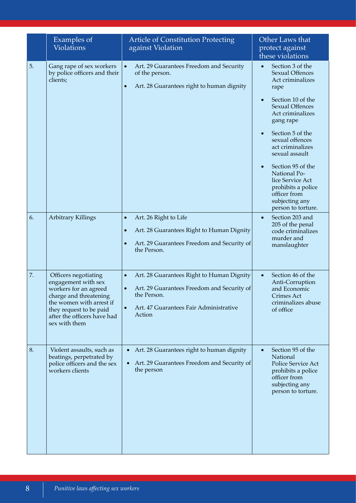|    | Examples of<br><b>Violations</b>                                                                                                                                                                      | <b>Article of Constitution Protecting</b><br>against Violation                                                                                                                                    | Other Laws that<br>protect against<br>these violations                                                                                                                                                                                                                                                                                                                                  |
|----|-------------------------------------------------------------------------------------------------------------------------------------------------------------------------------------------------------|---------------------------------------------------------------------------------------------------------------------------------------------------------------------------------------------------|-----------------------------------------------------------------------------------------------------------------------------------------------------------------------------------------------------------------------------------------------------------------------------------------------------------------------------------------------------------------------------------------|
| 5. | Gang rape of sex workers<br>by police officers and their<br>clients;                                                                                                                                  | Art. 29 Guarantees Freedom and Security<br>$\bullet$<br>of the person.<br>Art. 28 Guarantees right to human dignity<br>$\bullet$                                                                  | Section 3 of the<br><b>Sexual Offences</b><br>Act criminalizes<br>rape<br>Section 10 of the<br><b>Sexual Offences</b><br>Act criminalizes<br>gang rape<br>Section 5 of the<br>$\bullet$<br>sexual offences<br>act criminalizes<br>sexual assault<br>Section 95 of the<br>National Po-<br>lice Service Act<br>prohibits a police<br>officer from<br>subjecting any<br>person to torture. |
| 6. | <b>Arbitrary Killings</b>                                                                                                                                                                             | Art. 26 Right to Life<br>$\bullet$<br>Art. 28 Guarantees Right to Human Dignity<br>$\bullet$<br>Art. 29 Guarantees Freedom and Security of<br>$\bullet$<br>the Person.                            | Section 203 and<br>$\bullet$<br>205 of the penal<br>code criminalizes<br>murder and<br>manslaughter                                                                                                                                                                                                                                                                                     |
| 7. | Officers negotiating<br>engagement with sex<br>workers for an agreed<br>charge and threatening<br>the women with arrest if<br>they request to be paid<br>after the officers have had<br>sex with them | Art. 28 Guarantees Right to Human Dignity<br>$\bullet$<br>Art. 29 Guarantees Freedom and Security of<br>$\bullet$<br>the Person.<br>Art. 47 Guarantees Fair Administrative<br>$\bullet$<br>Action | Section 46 of the<br>$\bullet$<br>Anti-Corruption<br>and Economic<br><b>Crimes Act</b><br>criminalizes abuse<br>of office                                                                                                                                                                                                                                                               |
| 8. | Violent assaults, such as<br>beatings, perpetrated by<br>police officers and the sex<br>workers clients                                                                                               | Art. 28 Guarantees right to human dignity<br>$\bullet$<br>Art. 29 Guarantees Freedom and Security of<br>the person                                                                                | Section 95 of the<br>$\bullet$<br>National<br>Police Service Act<br>prohibits a police<br>officer from<br>subjecting any<br>person to torture.                                                                                                                                                                                                                                          |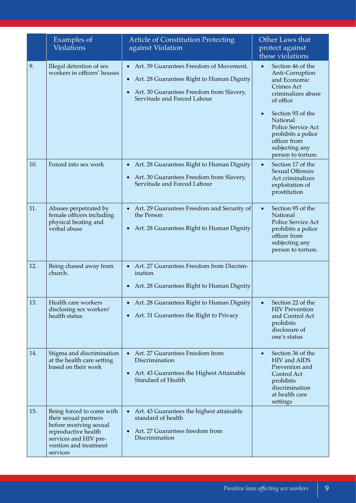|     | Examples of<br><b>Violations</b>                                                                                                                                   | <b>Article of Constitution Protecting</b><br>against Violation                                                                                                    | Other Laws that<br>protect against<br>these violations                                                                                                                                                                                                                      |
|-----|--------------------------------------------------------------------------------------------------------------------------------------------------------------------|-------------------------------------------------------------------------------------------------------------------------------------------------------------------|-----------------------------------------------------------------------------------------------------------------------------------------------------------------------------------------------------------------------------------------------------------------------------|
| 9.  | Illegal detention of sex<br>workers in officers' houses                                                                                                            | Art. 39 Guarantees Freedom of Movement.<br>Art. 28 Guarantees Right to Human Dignity<br>• Art. 30 Guarantees Freedom from Slavery,<br>Servitude and Forced Labour | Section 46 of the<br>$\bullet$<br>Anti-Corruption<br>and Economic<br><b>Crimes Act</b><br>criminalizes abuse<br>of office<br>Section 95 of the<br>$\bullet$<br>National<br>Police Service Act<br>prohibits a police<br>officer from<br>subjecting any<br>person to torture. |
| 10. | Forced into sex work                                                                                                                                               | Art. 28 Guarantees Right to Human Dignity<br>Art. 30 Guarantees Freedom from Slavery,<br>$\bullet$<br>Servitude and Forced Labour                                 | Section 17 of the<br>$\bullet$<br><b>Sexual Offences</b><br>Act criminalizes<br>exploitation of<br>prostitution                                                                                                                                                             |
| 11. | Abuses perpetrated by<br>female officers including<br>physical beating and<br>verbal abuse                                                                         | Art. 29 Guarantees Freedom and Security of<br>the Person<br>Art. 28 Guarantees Right to Human Dignity                                                             | Section 95 of the<br>$\bullet$<br>National<br><b>Police Service Act</b><br>prohibits a police<br>officer from<br>subjecting any<br>person to torture.                                                                                                                       |
| 12. | Being chased away from<br>church.                                                                                                                                  | Art. 27 Guarantees Freedom from Discrim-<br>$\bullet$<br>ination<br>Art. 28 Guarantees Right to Human Dignity                                                     |                                                                                                                                                                                                                                                                             |
| 13. | Health care workers<br>disclosing sex workers'<br>health status                                                                                                    | Art. 28 Guarantees Right to Human Dignity<br>$\bullet$<br>Art. 31 Guarantees the Right to Privacy<br>$\bullet$                                                    | Section 22 of the<br>$\bullet$<br><b>HIV</b> Prevention<br>and Control Act<br>prohibits<br>disclosure of<br>one's status                                                                                                                                                    |
| 14. | Stigma and discrimination<br>at the health care setting<br>based on their work                                                                                     | • Art. 27 Guarantees Freedom from<br>Discrimination<br>Art. 43 Guarantees the Highest Attainable<br>$\bullet$<br>Standard of Health                               | Section 36 of the<br>$\bullet$<br>HIV and AIDS<br>Prevention and<br>Control Act<br>prohibits<br>discrimination<br>at health care<br>settings                                                                                                                                |
| 15. | Being forced to come with<br>their sexual partners<br>before receiving sexual<br>reproductive health<br>services and HIV pre-<br>vention and treatment<br>services | Art. 43 Guarantees the highest attainable<br>$\bullet$<br>standard of health<br>Art. 27 Guarantees freedom from<br>Discrimination                                 |                                                                                                                                                                                                                                                                             |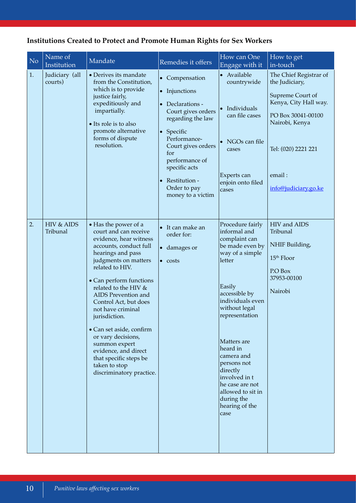|  |  | <b>Institutions Created to Protect and Promote Human Rights for Sex Workers</b> |  |  |
|--|--|---------------------------------------------------------------------------------|--|--|
|--|--|---------------------------------------------------------------------------------|--|--|

| N <sub>o</sub> | Name of<br>Institution    | Mandate                                                                                                                                                                                                                                                                                                                                                                                                                                                                      | Remedies it offers                                                                                                                                                                                                                                                                    | How can One<br>Engage with it                                                                                                                                                                                                                                                                                                                            | How to get<br>in-touch                                                                                                                                                                 |
|----------------|---------------------------|------------------------------------------------------------------------------------------------------------------------------------------------------------------------------------------------------------------------------------------------------------------------------------------------------------------------------------------------------------------------------------------------------------------------------------------------------------------------------|---------------------------------------------------------------------------------------------------------------------------------------------------------------------------------------------------------------------------------------------------------------------------------------|----------------------------------------------------------------------------------------------------------------------------------------------------------------------------------------------------------------------------------------------------------------------------------------------------------------------------------------------------------|----------------------------------------------------------------------------------------------------------------------------------------------------------------------------------------|
| 1.             | Judiciary (all<br>courts) | • Derives its mandate<br>from the Constitution,<br>which is to provide<br>justice fairly,<br>expeditiously and<br>impartially.<br>• Its role is to also<br>promote alternative<br>forms of dispute<br>resolution.                                                                                                                                                                                                                                                            | • Compensation<br>• Injunctions<br>Declarations -<br>$\bullet$<br>Court gives orders<br>regarding the law<br>Specific<br>$\bullet$<br>Performance-<br>Court gives orders<br>for<br>performance of<br>specific acts<br>Restitution -<br>$\bullet$<br>Order to pay<br>money to a victim | • Available<br>countrywide<br>• Individuals<br>can file cases<br>NGOs can file<br>cases<br>Experts can<br>enjoin onto filed<br>cases                                                                                                                                                                                                                     | The Chief Registrar of<br>the Judiciary,<br>Supreme Court of<br>Kenya, City Hall way.<br>PO Box 30041-00100<br>Nairobi, Kenya<br>Tel: (020) 2221 221<br>email:<br>info@judiciary.go.ke |
| 2.             | HIV & AIDS<br>Tribunal    | • Has the power of a<br>court and can receive<br>evidence, hear witness<br>accounts, conduct full<br>hearings and pass<br>judgments on matters<br>related to HIV.<br>• Can perform functions<br>related to the HIV &<br>AIDS Prevention and<br>Control Act, but does<br>not have criminal<br>jurisdiction.<br>• Can set aside, confirm<br>or vary decisions,<br>summon expert<br>evidence, and direct<br>that specific steps be<br>taken to stop<br>discriminatory practice. | It can make an<br>order for:<br>damages or<br>$\bullet$<br>$\bullet$ costs                                                                                                                                                                                                            | Procedure fairly<br>informal and<br>complaint can<br>be made even by<br>way of a simple<br>letter<br>Easily<br>accessible by<br>individuals even<br>without legal<br>representation<br>Matters are<br>heard in<br>camera and<br>persons not<br>directly<br>involved in t<br>he case are not<br>allowed to sit in<br>during the<br>hearing of the<br>case | HIV and AIDS<br>Tribunal<br>NHIF Building,<br>15 <sup>th</sup> Floor<br>P.O Box<br>37953-00100<br>Nairobi                                                                              |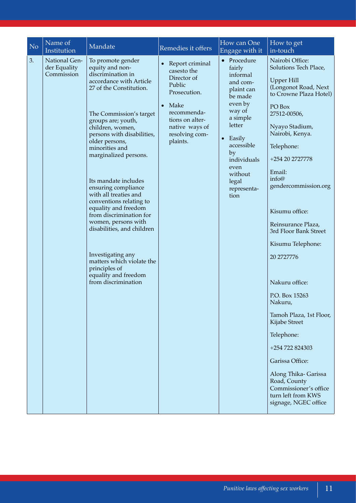| No. | Name of<br>Institution                      | Mandate                                                                                                                                                                                                                                                                                                                                                                                                                                                                                                                                                                                                      | Remedies it offers                                                                                                                                                            | How can One<br>Engage with it                                                                                                                                                                                                | How to get<br>in-touch                                                                                                                                                                                                                                                                                                                                                                                                                                                                                                                                                                                                       |
|-----|---------------------------------------------|--------------------------------------------------------------------------------------------------------------------------------------------------------------------------------------------------------------------------------------------------------------------------------------------------------------------------------------------------------------------------------------------------------------------------------------------------------------------------------------------------------------------------------------------------------------------------------------------------------------|-------------------------------------------------------------------------------------------------------------------------------------------------------------------------------|------------------------------------------------------------------------------------------------------------------------------------------------------------------------------------------------------------------------------|------------------------------------------------------------------------------------------------------------------------------------------------------------------------------------------------------------------------------------------------------------------------------------------------------------------------------------------------------------------------------------------------------------------------------------------------------------------------------------------------------------------------------------------------------------------------------------------------------------------------------|
| 3.  | National Gen-<br>der Equality<br>Commission | To promote gender<br>equity and non-<br>discrimination in<br>accordance with Article<br>27 of the Constitution.<br>The Commission's target<br>groups are; youth,<br>children, women,<br>persons with disabilities,<br>older persons,<br>minorities and<br>marginalized persons.<br>Its mandate includes<br>ensuring compliance<br>with all treaties and<br>conventions relating to<br>equality and freedom<br>from discrimination for<br>women, persons with<br>disabilities, and children<br>Investigating any<br>matters which violate the<br>principles of<br>equality and freedom<br>from discrimination | • Report criminal<br>casesto the<br>Director of<br>Public<br>Prosecution.<br>$\bullet$ Make<br>recommenda-<br>tions on alter-<br>native ways of<br>resolving com-<br>plaints. | Procedure<br>fairly<br>informal<br>and com-<br>plaint can<br>be made<br>even by<br>way of<br>a simple<br>letter<br>Easily<br>$\bullet$<br>accessible<br>by<br>individuals<br>even<br>without<br>legal<br>representa-<br>tion | Nairobi Office:<br>Solutions Tech Place,<br><b>Upper Hill</b><br>(Longonot Road, Next<br>to Crowne Plaza Hotel)<br>PO Box<br>27512-00506,<br>Nyayo Stadium,<br>Nairobi, Kenya.<br>Telephone:<br>+254 20 2727778<br>Email:<br>info@<br>gendercommission.org<br>Kisumu office:<br>Reinsurance Plaza,<br>3rd Floor Bank Street<br>Kisumu Telephone:<br>20 2727776<br>Nakuru office:<br>P.O. Box 15263<br>Nakuru,<br>Tamoh Plaza, 1st Floor,<br>Kijabe Street<br>Telephone:<br>+254 722 824303<br>Garissa Office:<br>Along Thika- Garissa<br>Road, County<br>Commissioner's office<br>turn left from KWS<br>signage, NGEC office |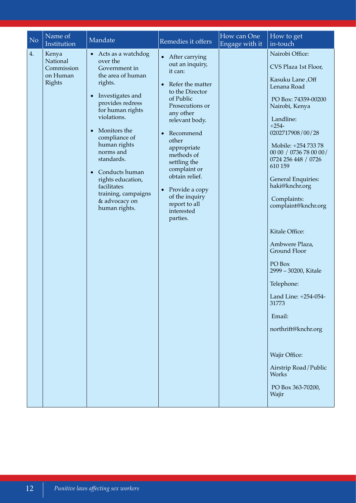| Name of<br>How can One<br>How to get<br>N <sub>o</sub><br>Mandate<br>Remedies it offers<br>Institution<br>Engage with it<br>in-touch                                                                                                                                                                                                                                                                                                                                                                                                                                                                                                                                                                                                                                                                                                                                                                                                                                                                                                                                                                                                                                                                                                                                                                                                                 |  |
|------------------------------------------------------------------------------------------------------------------------------------------------------------------------------------------------------------------------------------------------------------------------------------------------------------------------------------------------------------------------------------------------------------------------------------------------------------------------------------------------------------------------------------------------------------------------------------------------------------------------------------------------------------------------------------------------------------------------------------------------------------------------------------------------------------------------------------------------------------------------------------------------------------------------------------------------------------------------------------------------------------------------------------------------------------------------------------------------------------------------------------------------------------------------------------------------------------------------------------------------------------------------------------------------------------------------------------------------------|--|
| 4.<br>Nairobi Office:<br>Kenya<br>Acts as a watchdog<br>• After carrying<br>over the<br>National<br>out an inquiry,<br>CVS Plaza 1st Floor,<br>Commission<br>Government in<br>it can:<br>on Human<br>the area of human<br>Kasuku Lane, Off<br>Rights<br>rights.<br>Refer the matter<br>$\bullet$<br>Lenana Road<br>to the Director<br>• Investigates and<br>of Public<br>PO Box: 74359-00200<br>provides redress<br>Prosecutions or<br>Nairobi, Kenya<br>for human rights<br>any other<br>violations.<br>Landline:<br>relevant body.<br>$+254-$<br>Monitors the<br>0202717908/00/28<br>Recommend<br>compliance of<br>other<br>human rights<br>Mobile: +254 733 78<br>appropriate<br>norms and<br>00 00 / 0736 78 00 00 /<br>methods of<br>standards.<br>0724 256 448 / 0726<br>settling the<br>610 159<br>complaint or<br>Conducts human<br>obtain relief.<br><b>General Enquiries:</b><br>rights education,<br>haki@knchr.org<br>facilitates<br>• Provide a copy<br>training, campaigns<br>of the inquiry<br>Complaints:<br>& advocacy on<br>report to all<br>complaint@knchr.org<br>human rights.<br>interested<br>parties.<br>Kitale Office:<br>Ambwere Plaza,<br>Ground Floor<br>PO Box<br>2999 - 30200, Kitale<br>Telephone:<br>Land Line: +254-054<br>31773<br>Email:<br>northrift@knchr.org<br>Wajir Office:<br>Airstrip Road/Public<br>Works |  |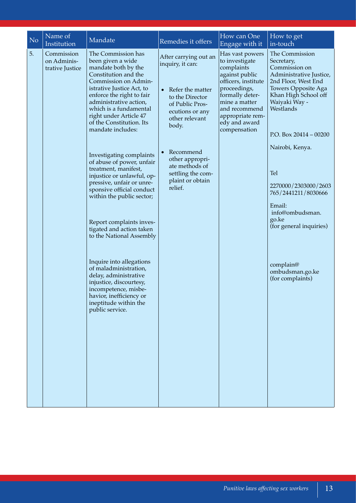| N <sub>o</sub> | Name of<br>Institution                       | Mandate                                                                                                                                                                                                                                                                                                                                                                                                                                                                                                                                                                                                                                                                                                                                                                                                   | Remedies it offers                                                                                                                                                                                                                                        | How can One<br>Engage with it                                                                                                                                                                                      | How to get<br>in-touch                                                                                                                                                                                                                                                                                                                                                                                 |
|----------------|----------------------------------------------|-----------------------------------------------------------------------------------------------------------------------------------------------------------------------------------------------------------------------------------------------------------------------------------------------------------------------------------------------------------------------------------------------------------------------------------------------------------------------------------------------------------------------------------------------------------------------------------------------------------------------------------------------------------------------------------------------------------------------------------------------------------------------------------------------------------|-----------------------------------------------------------------------------------------------------------------------------------------------------------------------------------------------------------------------------------------------------------|--------------------------------------------------------------------------------------------------------------------------------------------------------------------------------------------------------------------|--------------------------------------------------------------------------------------------------------------------------------------------------------------------------------------------------------------------------------------------------------------------------------------------------------------------------------------------------------------------------------------------------------|
| 5.             | Commission<br>on Adminis-<br>trative Justice | The Commission has<br>been given a wide<br>mandate both by the<br>Constitution and the<br>Commission on Admin-<br>istrative Justice Act, to<br>enforce the right to fair<br>administrative action,<br>which is a fundamental<br>right under Article 47<br>of the Constitution. Its<br>mandate includes:<br>Investigating complaints<br>of abuse of power, unfair<br>treatment, manifest,<br>injustice or unlawful, op-<br>pressive, unfair or unre-<br>sponsive official conduct<br>within the public sector;<br>Report complaints inves-<br>tigated and action taken<br>to the National Assembly<br>Inquire into allegations<br>of maladministration,<br>delay, administrative<br>injustice, discourtesy,<br>incompetence, misbe-<br>havior, inefficiency or<br>ineptitude within the<br>public service. | After carrying out an<br>inquiry, it can:<br>• Refer the matter<br>to the Director<br>of Public Pros-<br>ecutions or any<br>other relevant<br>body.<br>Recommend<br>other appropri-<br>ate methods of<br>settling the com-<br>plaint or obtain<br>relief. | Has vast powers<br>to investigate<br>complaints<br>against public<br>officers, institute<br>proceedings,<br>formally deter-<br>mine a matter<br>and recommend<br>appropriate rem-<br>edy and award<br>compensation | The Commission<br>Secretary,<br>Commission on<br>Administrative Justice,<br>2nd Floor, West End<br>Towers Opposite Aga<br>Khan High School off<br>Waiyaki Way -<br>Westlands<br>P.O. Box $20414 - 00200$<br>Nairobi, Kenya.<br>Tel<br>2270000/2303000/2603<br>765/2441211/8030666<br>Email:<br>info@ombudsman.<br>go.ke<br>(for general inquiries)<br>complain@<br>ombudsman.go.ke<br>(for complaints) |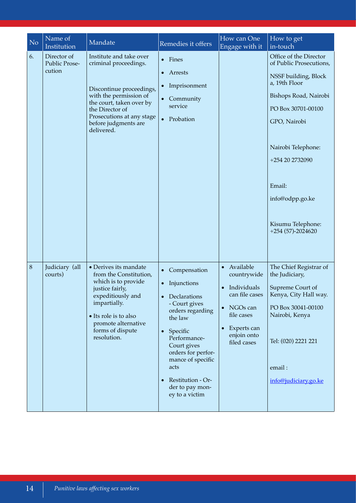| N <sub>o</sub> | Name of<br>Institution                 | Mandate                                                                                                                                                                                                                  | Remedies it offers                                                                                                                                                                                                                                                   | How can One<br>Engage with it                                                                                                                                           | How to get<br>in-touch                                                                                                                                                                                                                                                     |
|----------------|----------------------------------------|--------------------------------------------------------------------------------------------------------------------------------------------------------------------------------------------------------------------------|----------------------------------------------------------------------------------------------------------------------------------------------------------------------------------------------------------------------------------------------------------------------|-------------------------------------------------------------------------------------------------------------------------------------------------------------------------|----------------------------------------------------------------------------------------------------------------------------------------------------------------------------------------------------------------------------------------------------------------------------|
| 6.             | Director of<br>Public Prose-<br>cution | Institute and take over<br>criminal proceedings.<br>Discontinue proceedings,<br>with the permission of<br>the court, taken over by<br>the Director of<br>Prosecutions at any stage<br>before judgments are<br>delivered. | • Fines<br>Arrests<br>Imprisonment<br>Community<br>service<br>$\bullet$<br>Probation                                                                                                                                                                                 |                                                                                                                                                                         | Office of the Director<br>of Public Prosecutions,<br>NSSF building, Block<br>a, 19th Floor<br>Bishops Road, Nairobi<br>PO Box 30701-00100<br>GPO, Nairobi<br>Nairobi Telephone:<br>+254 20 2732090<br>Email:<br>info@odpp.go.ke<br>Kisumu Telephone:<br>$+254(57)-2024620$ |
| $\,8\,$        | Judiciary (all<br>courts)              | • Derives its mandate<br>from the Constitution,<br>which is to provide<br>justice fairly,<br>expeditiously and<br>impartially.<br>• Its role is to also<br>promote alternative<br>forms of dispute<br>resolution.        | Compensation<br>• Injunctions<br>• Declarations<br>- Court gives<br>orders regarding<br>the law<br>Specific<br>$\bullet$<br>Performance-<br>Court gives<br>orders for perfor-<br>mance of specific<br>acts<br>Restitution - Or-<br>der to pay mon-<br>ey to a victim | Available<br>$\bullet$<br>countrywide<br>Individuals<br>$\bullet$<br>can file cases<br>NGOs can<br>file cases<br>Experts can<br>$\bullet$<br>enjoin onto<br>filed cases | The Chief Registrar of<br>the Judiciary,<br>Supreme Court of<br>Kenya, City Hall way.<br>PO Box 30041-00100<br>Nairobi, Kenya<br>Tel: (020) 2221 221<br>email:<br>info@judiciary.go.ke                                                                                     |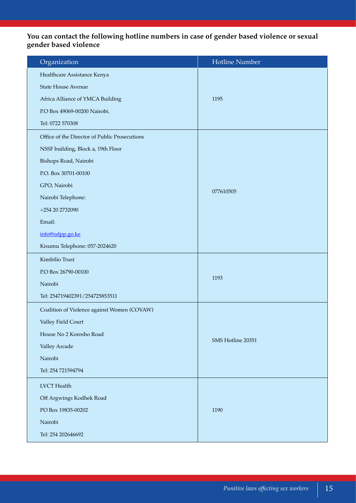# **You can contact the following hotline numbers in case of gender based violence or sexual gender based violence**

| Organization                                  | <b>Hotline Number</b> |  |
|-----------------------------------------------|-----------------------|--|
| Healthcare Assistance Kenya                   |                       |  |
| <b>State House Avenue</b>                     |                       |  |
| Africa Alliance of YMCA Building              | 1195                  |  |
| P.O Box 49069-00200 Nairobi.                  |                       |  |
| Tel: 0722 570308                              |                       |  |
| Office of the Director of Public Prosecutions |                       |  |
| NSSF building, Block a, 19th Floor            |                       |  |
| Bishops Road, Nairobi                         |                       |  |
| P.O. Box 30701-00100                          |                       |  |
| GPO, Nairobi                                  | 077610505             |  |
| Nairobi Telephone:                            |                       |  |
| +254 20 2732090                               |                       |  |
| Email:                                        |                       |  |
| info@odpp.go.ke                               |                       |  |
| Kisumu Telephone: 057-2024620                 |                       |  |
| Kimbilio Trust                                |                       |  |
| P.O Box 26790-00100                           | 1193                  |  |
| Nairobi                                       |                       |  |
| Tel: 254719402391/254725853511                |                       |  |
| Coalition of Violence against Women (COVAW)   |                       |  |
| Valley Field Court                            |                       |  |
| House No 2 Korosho Road                       | SMS Hotline 20351     |  |
| Valley Arcade                                 |                       |  |
| Nairobi                                       |                       |  |
| Tel: 254 721594794                            |                       |  |
| <b>LVCT</b> Health                            |                       |  |
| Off Argwings Kodhek Road                      |                       |  |
| PO Box 19835-00202                            | 1190                  |  |
| Nairobi                                       |                       |  |
| Tel: 254 202646692                            |                       |  |